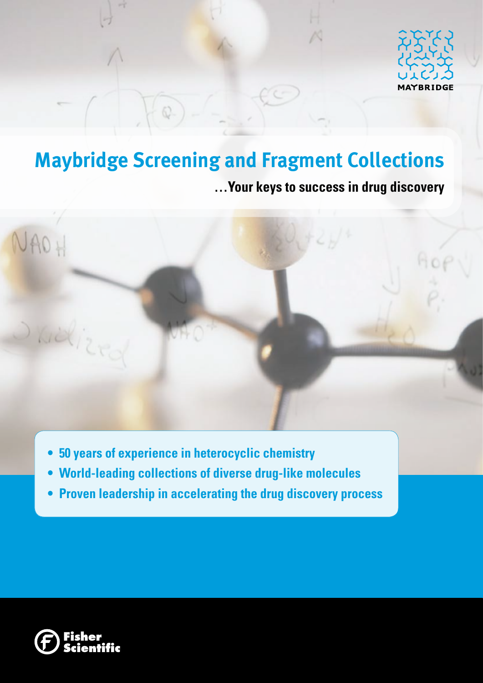

# **Maybridge Screening and Fragment Collections**

**…Your keys to success in drug discovery**



- **• 50 years of experience in heterocyclic chemistry**
- **• World-leading collections of diverse drug-like molecules**
- **• Proven leadership in accelerating the drug discovery process**

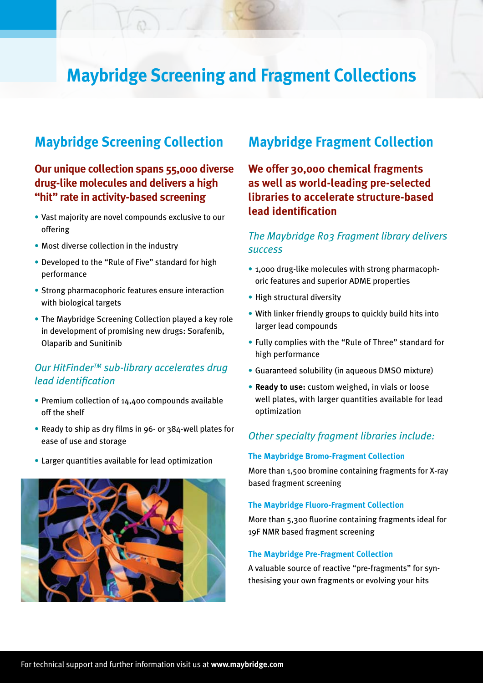# **Maybridge Screening and Fragment Collections**

# **Maybridge Screening Collection**

# **Our unique collection spans 55,000 diverse drug-like molecules and delivers a high "hit" rate in activity-based screening**

- Vast majority are novel compounds exclusive to our offering
- Most diverse collection in the industry
- Developed to the "Rule of Five" standard for high performance
- Strong pharmacophoric features ensure interaction with biological targets
- The Maybridge Screening Collection played a key role in development of promising new drugs: Sorafenib, Olaparib and Sunitinib

# *Our HitFinderTM sub-library accelerates drug lead identification*

- Premium collection of 14,400 compounds available off the shelf
- Ready to ship as dry films in 96- or 384-well plates for ease of use and storage
- Larger quantities available for lead optimization



# **Maybridge Fragment Collection**

**We offer 30,000 chemical fragments as well as world-leading pre-selected libraries to accelerate structure-based lead identification**

# *The Maybridge Ro3 Fragment library delivers success*

- 1,000 drug-like molecules with strong pharmacophoric features and superior ADME properties
- High structural diversity
- With linker friendly groups to quickly build hits into larger lead compounds
- Fully complies with the "Rule of Three" standard for high performance
- Guaranteed solubility (in aqueous DMSO mixture)
- **• Ready to use:** custom weighed, in vials or loose well plates, with larger quantities available for lead optimization

## *Other specialty fragment libraries include:*

### **The Maybridge Bromo-Fragment Collection**

More than 1,500 bromine containing fragments for X-ray based fragment screening

#### **The Maybridge Fluoro-Fragment Collection**

More than 5,300 fluorine containing fragments ideal for 19F NMR based fragment screening

### **The Maybridge Pre-Fragment Collection**

A valuable source of reactive "pre-fragments" for synthesising your own fragments or evolving your hits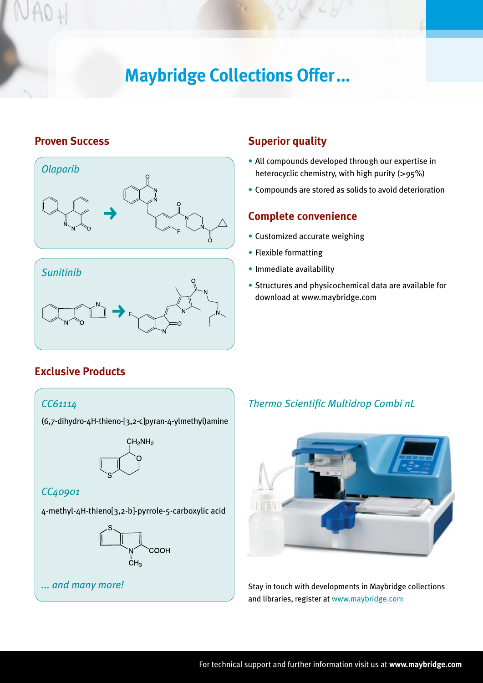# **Maybridge Collections Offer...**

# **Proven Success**





# **Superior quality**

- All compounds developed through our expertise in heterocyclic chemistry, with high purity (>95%)
- Compounds are stored as solids to avoid deterioration

# **Complete convenience**

- Customized accurate weighing
- Flexible formatting
- Immediate availability
- Structures and physicochemical data are available for download at www.maybridge.com

# **Exclusive Products**

### *CC61114*

(6,7-dihydro-4H-thieno-[3,2-c]pyran-4-ylmethyl)amine



## *CC40901*

4-methyl-4H-thieno[3,2-b]-pyrrole-5-carboxylic acid



# *Thermo Scientific Multidrop Combi nL*



**1... and many more!** Stay in touch with developments in Maybridge collections and libraries, register at www.maybridge.com